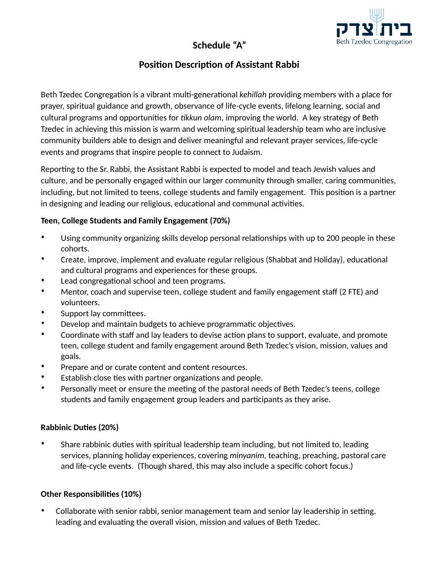# **Schedule "A"**



## **Position Description of Assistant Rabbi**

Beth Tzedec Congregation is a vibrant multi-generational *kehillah* providing members with a place for prayer, spiritual guidance and growth, observance of life-cycle events, lifelong learning, social and cultural programs and opportunities for *tikkun olam*, improving the world. A key strategy of Beth Tzedec in achieving this mission is warm and welcoming spiritual leadership team who are inclusive community builders able to design and deliver meaningful and relevant prayer services, life-cycle events and programs that inspire people to connect to Judaism.

Reporting to the Sr. Rabbi, the Assistant Rabbi is expected to model and teach Jewish values and culture, and be personally engaged within our larger community through smaller, caring communities, including, but not limited to teens, college students and family engagement. This position is a partner in designing and leading our religious, educational and communal activities.

#### **Teen, College Students and Family Engagement (70%)**

- Using community organizing skills develop personal relationships with up to 200 people in these cohorts.
- Create, improve, implement and evaluate regular religious (Shabbat and Holiday), educational and cultural programs and experiences for these groups.
- Lead congregational school and teen programs.
- Mentor, coach and supervise teen, college student and family engagement staff (2 FTE) and volunteers.
- Support lay committees.
- Develop and maintain budgets to achieve programmatic objectives.
- Coordinate with staff and lay leaders to devise action plans to support, evaluate, and promote teen, college student and family engagement around Beth Tzedec's vision, mission, values and goals.
- Prepare and or curate content and content resources.
- Establish close ties with partner organizations and people.
- Personally meet or ensure the meeting of the pastoral needs of Beth Tzedec's teens, college students and family engagement group leaders and participants as they arise.

#### **Rabbinic Duties (20%)**

• Share rabbinic duties with spiritual leadership team including, but not limited to, leading services, planning holiday experiences, covering *minyanim*, teaching, preaching, pastoral care and life-cycle events. (Though shared, this may also include a specific cohort focus.)

### **Other Responsibilities (10%)**

Collaborate with senior rabbi, senior management team and senior lay leadership in setting, leading and evaluating the overall vision, mission and values of Beth Tzedec.